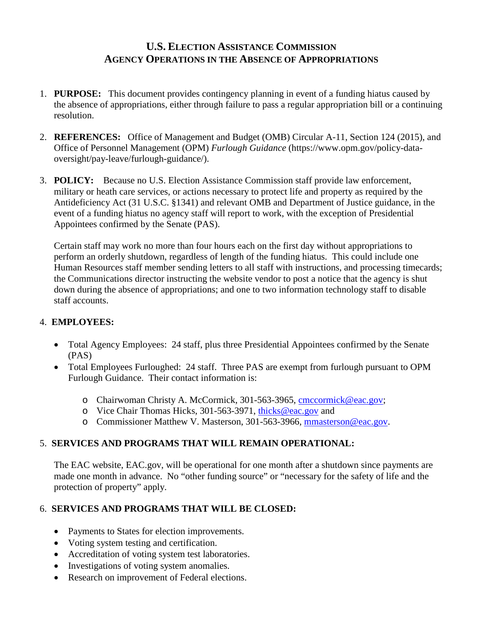# **U.S. ELECTION ASSISTANCE COMMISSION AGENCY OPERATIONS IN THE ABSENCE OF APPROPRIATIONS**

- 1. **PURPOSE:** This document provides contingency planning in event of a funding hiatus caused by the absence of appropriations, either through failure to pass a regular appropriation bill or a continuing resolution.
- 2. **REFERENCES:** Office of Management and Budget (OMB) Circular A-11, Section 124 (2015), and Office of Personnel Management (OPM) *Furlough Guidance* (https://www.opm.gov/policy-dataoversight/pay-leave/furlough-guidance/).
- 3. **POLICY:** Because no U.S. Election Assistance Commission staff provide law enforcement, military or heath care services, or actions necessary to protect life and property as required by the Antideficiency Act (31 U.S.C. §1341) and relevant OMB and Department of Justice guidance, in the event of a funding hiatus no agency staff will report to work, with the exception of Presidential Appointees confirmed by the Senate (PAS).

Certain staff may work no more than four hours each on the first day without appropriations to perform an orderly shutdown, regardless of length of the funding hiatus. This could include one Human Resources staff member sending letters to all staff with instructions, and processing timecards; the Communications director instructing the website vendor to post a notice that the agency is shut down during the absence of appropriations; and one to two information technology staff to disable staff accounts.

## 4. **EMPLOYEES:**

- Total Agency Employees: 24 staff, plus three Presidential Appointees confirmed by the Senate (PAS)
- Total Employees Furloughed: 24 staff. Three PAS are exempt from furlough pursuant to OPM Furlough Guidance. Their contact information is:
	- o Chairwoman Christy A. McCormick, 301-563-3965, [cmccormick@eac.gov;](mailto:cmccormick@eac.gov)
	- o Vice Chair Thomas Hicks, 301-563-3971, [thicks@eac.gov](mailto:thicks@eac.gov) and
	- o Commissioner Matthew V. Masterson, 301-563-3966, [mmasterson@eac.gov.](mailto:mmasterson@eac.gov)

## 5. **SERVICES AND PROGRAMS THAT WILL REMAIN OPERATIONAL:**

The EAC website, EAC.gov, will be operational for one month after a shutdown since payments are made one month in advance. No "other funding source" or "necessary for the safety of life and the protection of property" apply.

## 6. **SERVICES AND PROGRAMS THAT WILL BE CLOSED:**

- Payments to States for election improvements.
- Voting system testing and certification.
- Accreditation of voting system test laboratories.
- Investigations of voting system anomalies.
- Research on improvement of Federal elections.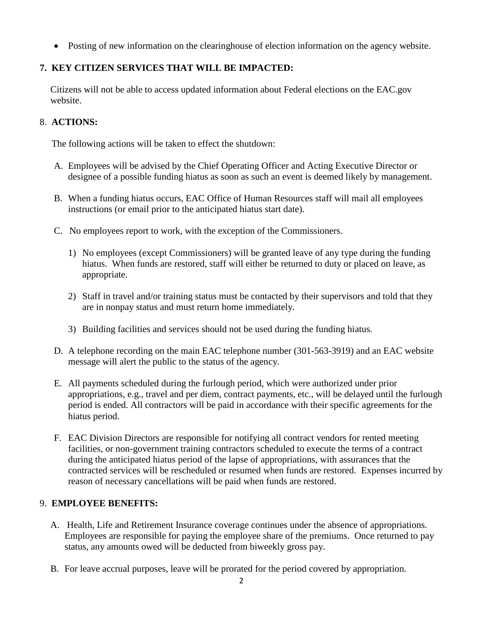• Posting of new information on the clearinghouse of election information on the agency website.

## **7. KEY CITIZEN SERVICES THAT WILL BE IMPACTED:**

Citizens will not be able to access updated information about Federal elections on the EAC.gov website.

#### 8. **ACTIONS:**

The following actions will be taken to effect the shutdown:

- A. Employees will be advised by the Chief Operating Officer and Acting Executive Director or designee of a possible funding hiatus as soon as such an event is deemed likely by management.
- B. When a funding hiatus occurs, EAC Office of Human Resources staff will mail all employees instructions (or email prior to the anticipated hiatus start date).
- C. No employees report to work, with the exception of the Commissioners.
	- 1) No employees (except Commissioners) will be granted leave of any type during the funding hiatus. When funds are restored, staff will either be returned to duty or placed on leave, as appropriate.
	- 2) Staff in travel and/or training status must be contacted by their supervisors and told that they are in nonpay status and must return home immediately.
	- 3) Building facilities and services should not be used during the funding hiatus.
- D. A telephone recording on the main EAC telephone number (301-563-3919) and an EAC website message will alert the public to the status of the agency.
- E. All payments scheduled during the furlough period, which were authorized under prior appropriations, e.g., travel and per diem, contract payments, etc., will be delayed until the furlough period is ended. All contractors will be paid in accordance with their specific agreements for the hiatus period.
- F. EAC Division Directors are responsible for notifying all contract vendors for rented meeting facilities, or non-government training contractors scheduled to execute the terms of a contract during the anticipated hiatus period of the lapse of appropriations, with assurances that the contracted services will be rescheduled or resumed when funds are restored. Expenses incurred by reason of necessary cancellations will be paid when funds are restored.

#### 9. **EMPLOYEE BENEFITS:**

- A. Health, Life and Retirement Insurance coverage continues under the absence of appropriations. Employees are responsible for paying the employee share of the premiums. Once returned to pay status, any amounts owed will be deducted from biweekly gross pay.
- B. For leave accrual purposes, leave will be prorated for the period covered by appropriation.